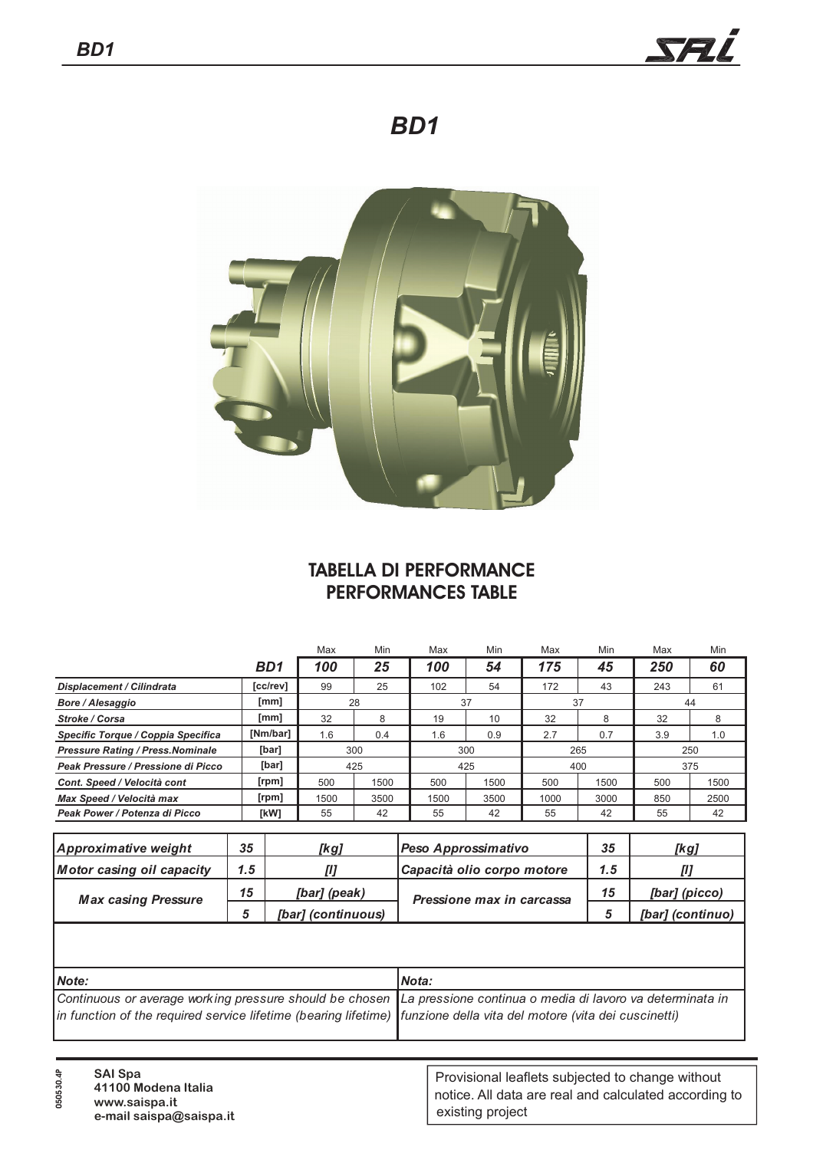

## *BD1*



## **TABELLA DI PERFORMANCE PERFORMANCES TABLE**

|                                          |                  | Max  | Min  | Max  | Min  | Max  | Min  | Max | Min  |
|------------------------------------------|------------------|------|------|------|------|------|------|-----|------|
|                                          | B <sub>D</sub> 1 | 100  | 25   | 100  | 54   | 175  | 45   | 250 | 60   |
| <b>Displacement / Cilindrata</b>         | [cc/rev]         | 99   | 25   | 102  | 54   | 172  | 43   | 243 | 61   |
| <b>Bore / Alesaggio</b>                  | [mm]             | 28   |      | 37   |      | 37   |      | 44  |      |
| <b>Stroke / Corsa</b>                    | [mm]             | 32   | 8    | 19   | 10   | 32   | 8    | 32  |      |
| Specific Torque / Coppia Specifica       | [Nm/bar]         | 1.6  | 0.4  | 1.6  | 0.9  | 2.7  | 0.7  | 3.9 | 1.0  |
| <b>Pressure Rating / Press. Nominale</b> | [bar]            | 300  |      | 300  |      | 265  |      | 250 |      |
| Peak Pressure / Pressione di Picco       | [bar]            | 425  |      | 425  |      | 400  |      | 375 |      |
| Cont. Speed / Velocità cont              | [rpm]            | 500  | 1500 | 500  | 1500 | 500  | 1500 | 500 | 1500 |
| Max Speed / Velocità max                 | [ <i>rpm</i> ]   | 1500 | 3500 | 1500 | 3500 | 1000 | 3000 | 850 | 2500 |
| Peak Power / Potenza di Picco            | [kW]             | 55   | 42   | 55   | 42   | 55   | 42   | 55  | 42   |

| Approximative weight             | 35  | [kg]               | Peso Approssimativo        |     | [kg]             |
|----------------------------------|-----|--------------------|----------------------------|-----|------------------|
| <b>Motor casing oil capacity</b> | 1.5 |                    | Capacità olio corpo motore | 1.5 |                  |
| <b>Max casing Pressure</b>       | 15  | [bar] (peak)       | Pressione max in carcassa  | 15  | [bar] (picco)    |
|                                  |     | [bar] (continuous) |                            |     | [bar] (continuo) |

| <i>Note:</i>                                                                                                           | Nota: |
|------------------------------------------------------------------------------------------------------------------------|-------|
| Continuous or average working pressure should be chosen La pressione continua o media di lavoro va determinata in      |       |
| in function of the required service lifetime (bearing lifetime)   funzione della vita del motore (vita dei cuscinetti) |       |
|                                                                                                                        |       |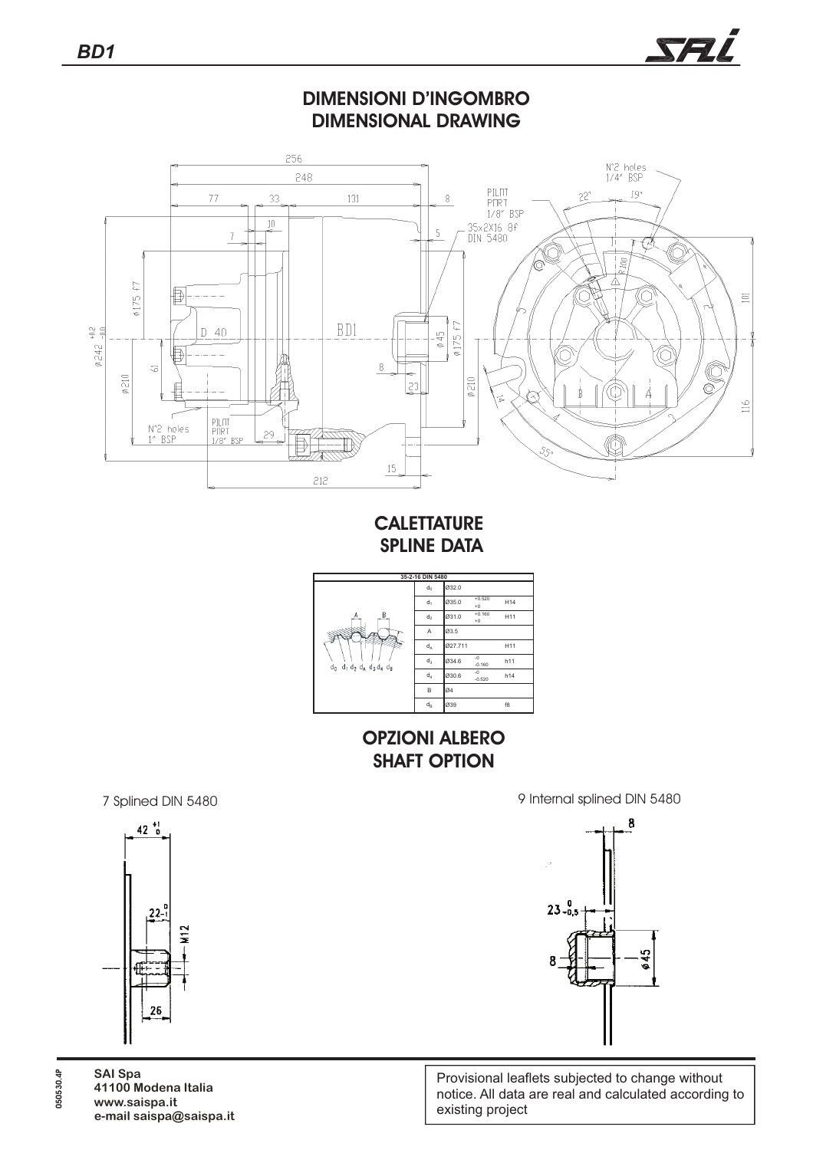





## **CALETTATURE SPLINE DATA**



**OPZIONI ALBERO SHAFT OPTION**

7 Splined DIN 5480 9 Internal splined DIN 5480





Provisional leaflets subjected to change without notice. All data are real and calculated according to existing project

**SAI Spa 41100 Modena Italia www.saispa.it e-mail saispa@saispa.it**

**050530.4P**